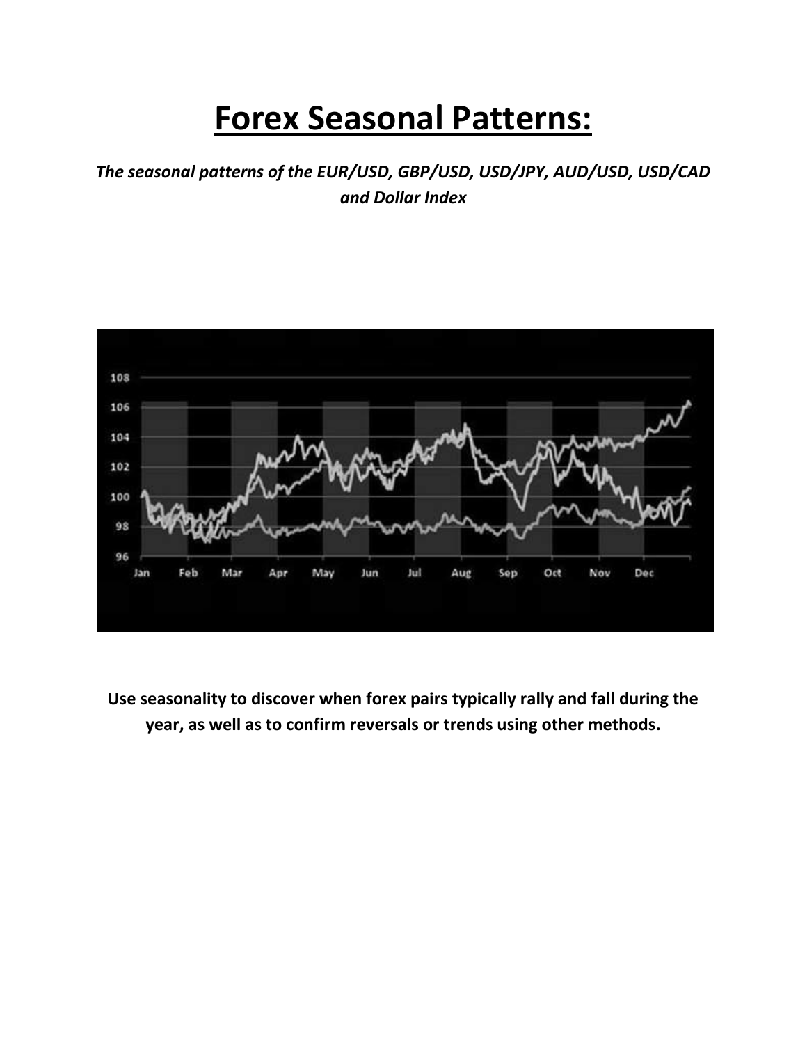# **Forex Seasonal Patterns:**

*The seasonal patterns of the EUR/USD, GBP/USD, USD/JPY, AUD/USD, USD/CAD and Dollar Index*



**Use seasonality to discover when forex pairs typically rally and fall during the year, as well as to confirm reversals or trends using other methods.**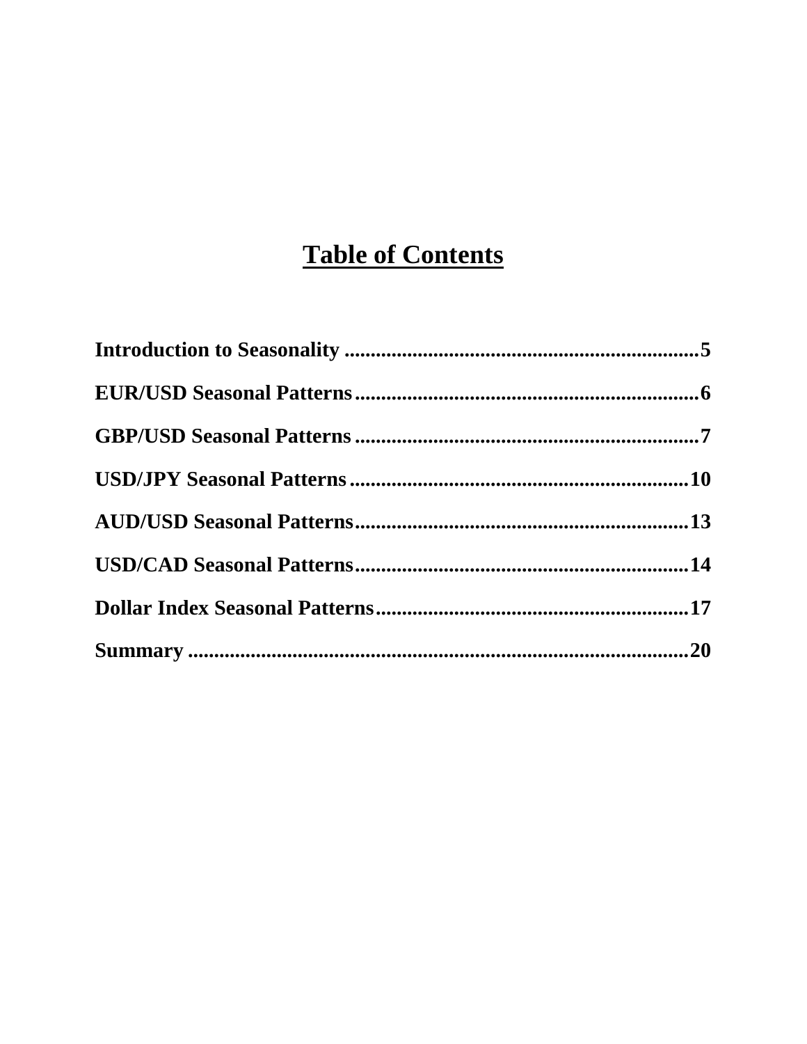## **Table of Contents**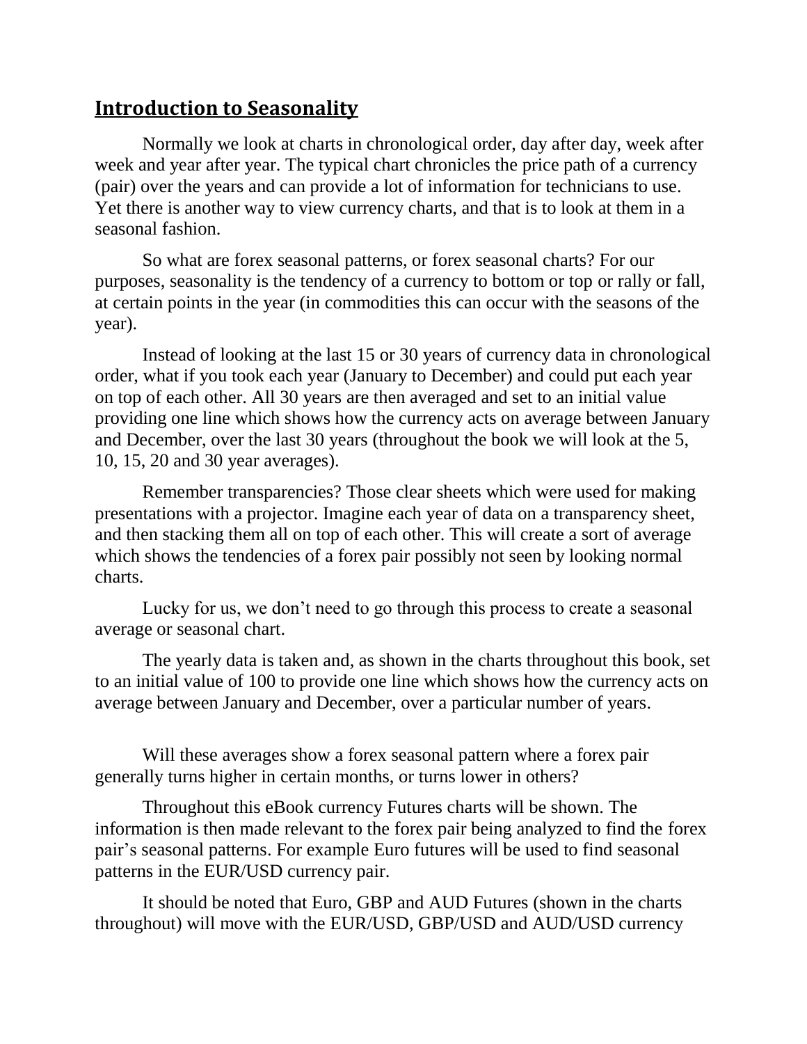#### <span id="page-2-0"></span>**Introduction to Seasonality**

Normally we look at charts in chronological order, day after day, week after week and year after year. The typical chart chronicles the price path of a currency (pair) over the years and can provide a lot of information for technicians to use. Yet there is another way to view currency charts, and that is to look at them in a seasonal fashion.

So what are forex seasonal patterns, or forex seasonal charts? For our purposes, seasonality is the tendency of a currency to bottom or top or rally or fall, at certain points in the year (in commodities this can occur with the seasons of the year).

Instead of looking at the last 15 or 30 years of currency data in chronological order, what if you took each year (January to December) and could put each year on top of each other. All 30 years are then averaged and set to an initial value providing one line which shows how the currency acts on average between January and December, over the last 30 years (throughout the book we will look at the 5, 10, 15, 20 and 30 year averages).

Remember transparencies? Those clear sheets which were used for making presentations with a projector. Imagine each year of data on a transparency sheet, and then stacking them all on top of each other. This will create a sort of average which shows the tendencies of a forex pair possibly not seen by looking normal charts.

Lucky for us, we don't need to go through this process to create a seasonal average or seasonal chart.

The yearly data is taken and, as shown in the charts throughout this book, set to an initial value of 100 to provide one line which shows how the currency acts on average between January and December, over a particular number of years.

Will these averages show a forex seasonal pattern where a forex pair generally turns higher in certain months, or turns lower in others?

Throughout this eBook currency Futures charts will be shown. The information is then made relevant to the forex pair being analyzed to find the forex pair's seasonal patterns. For example Euro futures will be used to find seasonal patterns in the EUR/USD currency pair.

It should be noted that Euro, GBP and AUD Futures (shown in the charts throughout) will move with the EUR/USD, GBP/USD and AUD/USD currency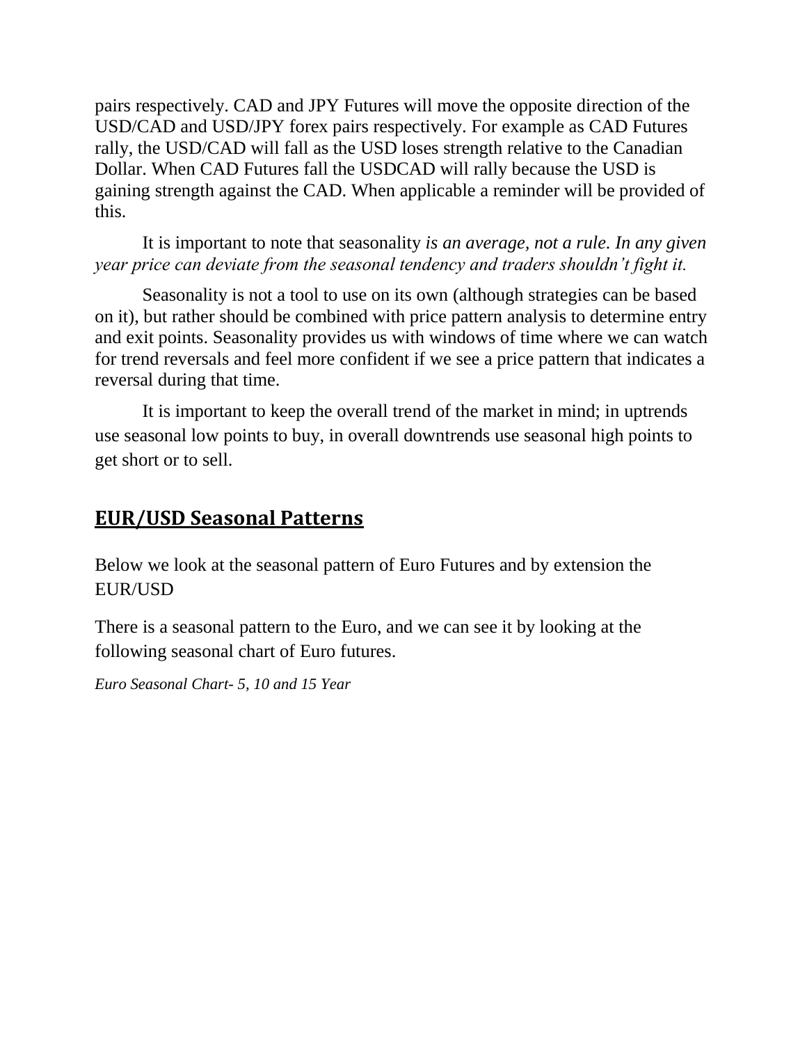pairs respectively. CAD and JPY Futures will move the opposite direction of the USD/CAD and USD/JPY forex pairs respectively. For example as CAD Futures rally, the USD/CAD will fall as the USD loses strength relative to the Canadian Dollar. When CAD Futures fall the USDCAD will rally because the USD is gaining strength against the CAD. When applicable a reminder will be provided of this.

It is important to note that seasonality *is an average, not a rule. In any given year price can deviate from the seasonal tendency and traders shouldn't fight it.*

Seasonality is not a tool to use on its own (although strategies can be based on it), but rather should be combined with price pattern analysis to determine entry and exit points. Seasonality provides us with windows of time where we can watch for trend reversals and feel more confident if we see a price pattern that indicates a reversal during that time.

<span id="page-3-0"></span>It is important to keep the overall trend of the market in mind; in uptrends use seasonal low points to buy, in overall downtrends use seasonal high points to get short or to sell.

#### **EUR/USD Seasonal Patterns**

Below we look at the seasonal pattern of Euro Futures and by extension the EUR/USD

There is a seasonal pattern to the Euro, and we can see it by looking at the following seasonal chart of Euro futures.

*Euro Seasonal Chart- 5, 10 and 15 Year*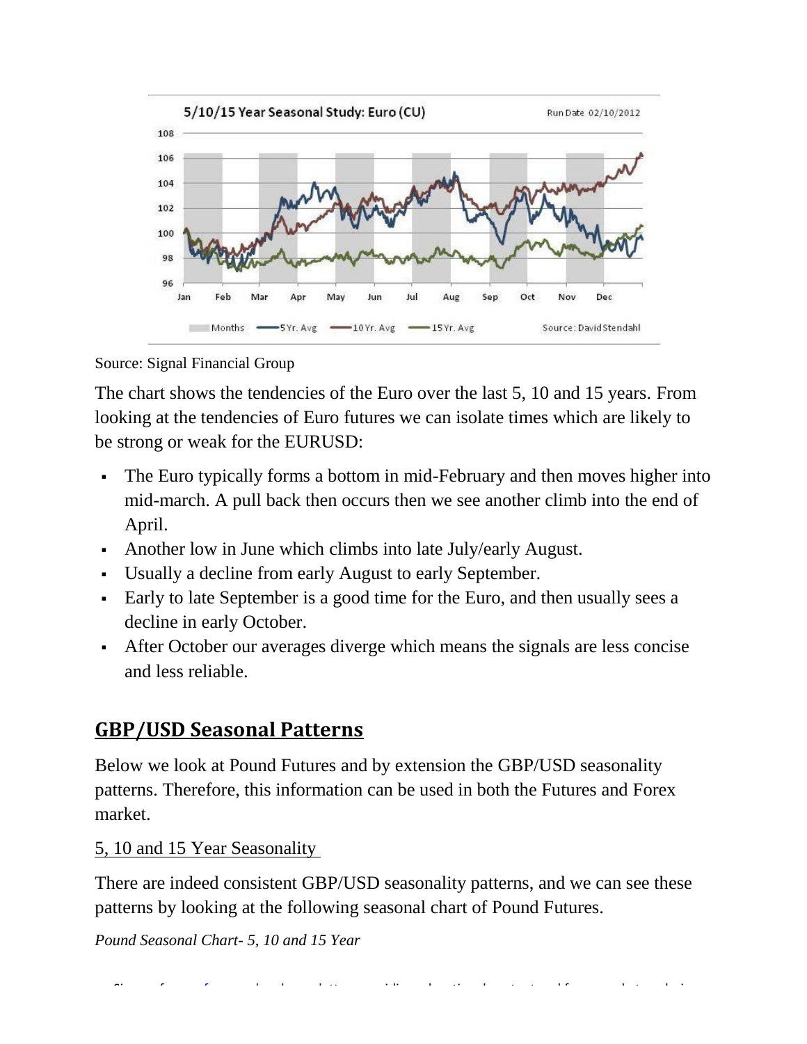

Source: Signal Financial Group

The chart shows the tendencies of the Euro over the last 5, 10 and 15 years. From looking at the tendencies of Euro futures we can isolate times which are likely to be strong or weak for the EURUSD:

- The Euro typically forms a bottom in mid-February and then moves higher into mid-march. A pull back then occurs then we see another climb into the end of April.
- Another low in June which climbs into late July/early August.
- Usually a decline from early August to early September.
- Early to late September is a good time for the Euro, and then usually sees a decline in early October.
- <span id="page-4-0"></span> After October our averages diverge which means the signals are less concise and less reliable.

## **GBP/USD Seasonal Patterns**

Below we look at Pound Futures and by extension the GBP/USD seasonality patterns. Therefore, this information can be used in both the Futures and Forex market.

#### 5, 10 and 15 Year Seasonality

There are indeed consistent GBP/USD seasonality patterns, and we can see these patterns by looking at the following seasonal chart of Pound Futures.

*Pound Seasonal Chart- 5, 10 and 15 Year*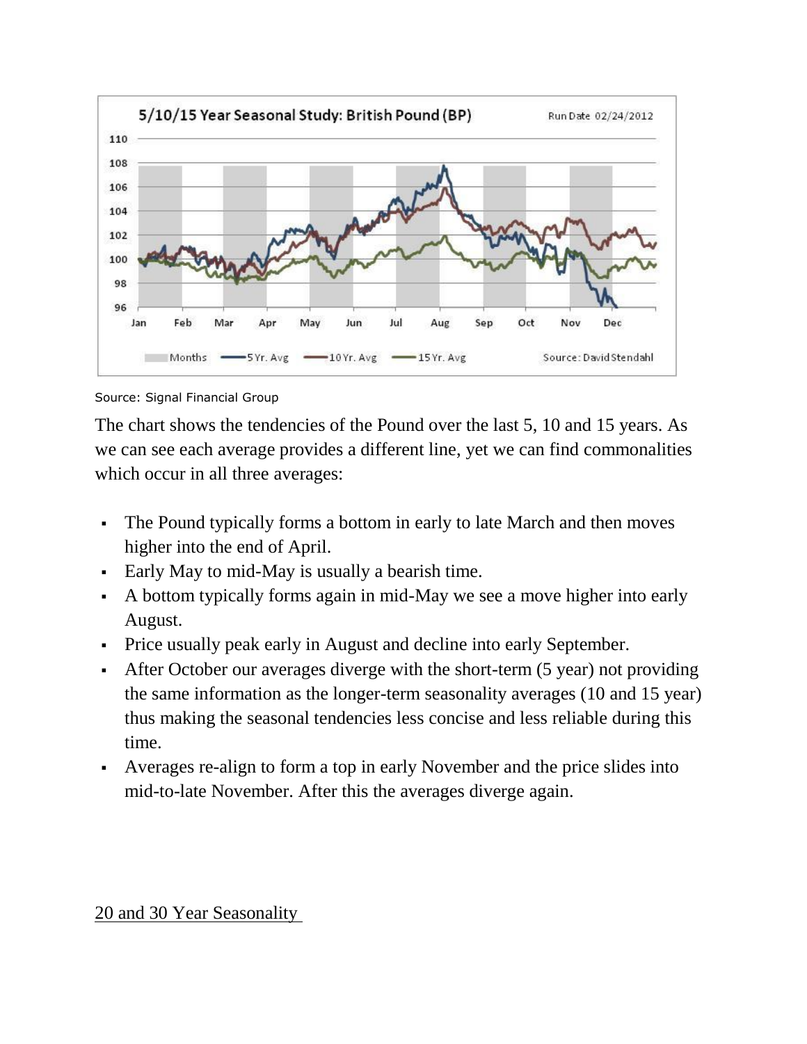

Source: Signal Financial Group

The chart shows the tendencies of the Pound over the last 5, 10 and 15 years. As we can see each average provides a different line, yet we can find commonalities which occur in all three averages:

- The Pound typically forms a bottom in early to late March and then moves higher into the end of April.
- Early May to mid-May is usually a bearish time.
- A bottom typically forms again in mid-May we see a move higher into early August.
- Price usually peak early in August and decline into early September.
- After October our averages diverge with the short-term (5 year) not providing the same information as the longer-term seasonality averages (10 and 15 year) thus making the seasonal tendencies less concise and less reliable during this time.
- Averages re-align to form a top in early November and the price slides into mid-to-late November. After this the averages diverge again.

#### 20 and 30 Year Seasonality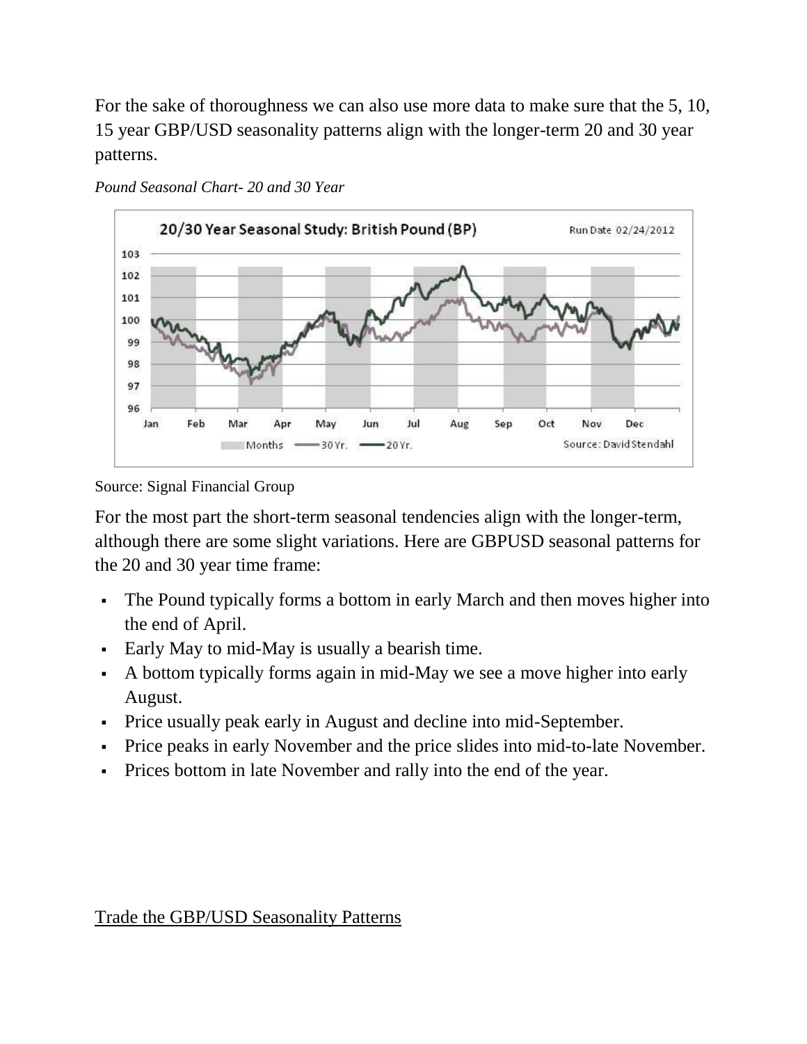For the sake of thoroughness we can also use more data to make sure that the 5, 10, 15 year GBP/USD seasonality patterns align with the longer-term 20 and 30 year patterns.



*Pound Seasonal Chart- 20 and 30 Year*

Source: Signal Financial Group

For the most part the short-term seasonal tendencies align with the longer-term, although there are some slight variations. Here are GBPUSD seasonal patterns for the 20 and 30 year time frame:

- The Pound typically forms a bottom in early March and then moves higher into the end of April.
- Early May to mid-May is usually a bearish time.
- A bottom typically forms again in mid-May we see a move higher into early August.
- Price usually peak early in August and decline into mid-September.
- Price peaks in early November and the price slides into mid-to-late November.
- Prices bottom in late November and rally into the end of the year.

Trade the GBP/USD Seasonality Patterns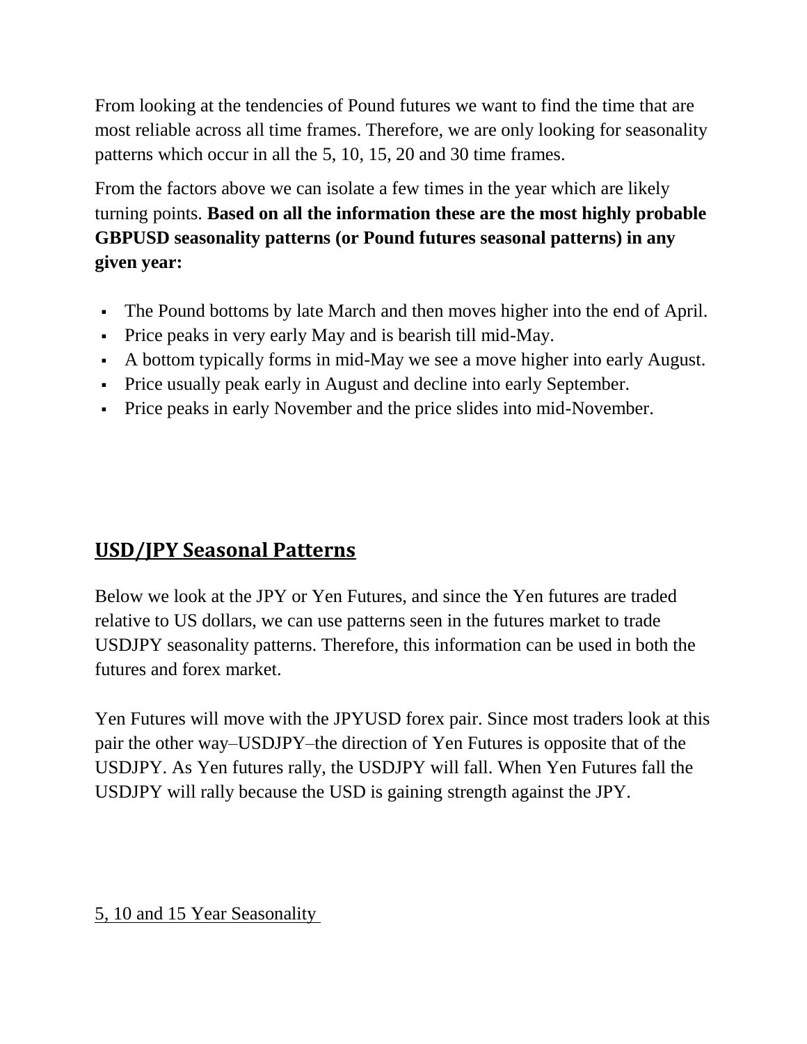From looking at the tendencies of Pound futures we want to find the time that are most reliable across all time frames. Therefore, we are only looking for seasonality patterns which occur in all the 5, 10, 15, 20 and 30 time frames.

From the factors above we can isolate a few times in the year which are likely turning points. **Based on all the information these are the most highly probable GBPUSD seasonality patterns (or Pound futures seasonal patterns) in any given year:**

- The Pound bottoms by late March and then moves higher into the end of April.
- Price peaks in very early May and is bearish till mid-May.
- A bottom typically forms in mid-May we see a move higher into early August.
- Price usually peak early in August and decline into early September.
- <span id="page-7-0"></span>Price peaks in early November and the price slides into mid-November.

## **USD/JPY Seasonal Patterns**

Below we look at the JPY or Yen Futures, and since the Yen futures are traded relative to US dollars, we can use patterns seen in the futures market to trade USDJPY seasonality patterns. Therefore, this information can be used in both the futures and forex market.

Yen Futures will move with the JPYUSD forex pair. Since most traders look at this pair the other way–USDJPY–the direction of Yen Futures is opposite that of the USDJPY. As Yen futures rally, the USDJPY will fall. When Yen Futures fall the USDJPY will rally because the USD is gaining strength against the JPY.

#### 5, 10 and 15 Year Seasonality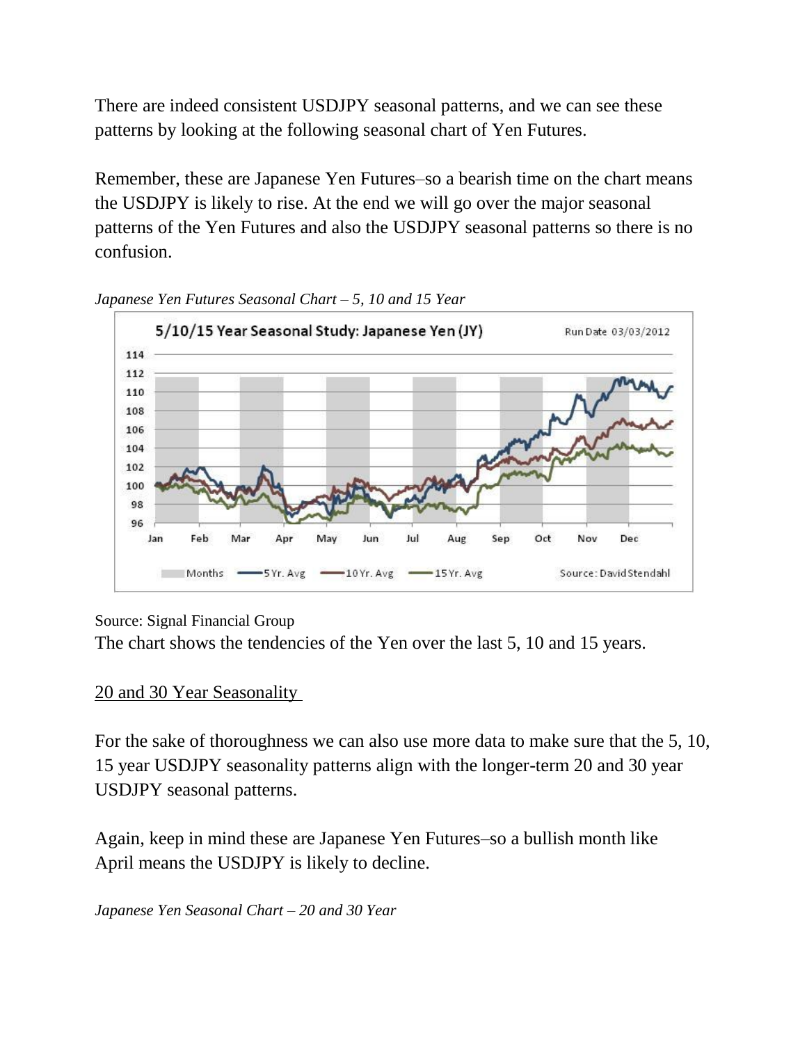There are indeed consistent USDJPY seasonal patterns, and we can see these patterns by looking at the following seasonal chart of Yen Futures.

Remember, these are Japanese Yen Futures–so a bearish time on the chart means the USDJPY is likely to rise. At the end we will go over the major seasonal patterns of the Yen Futures and also the USDJPY seasonal patterns so there is no confusion.



*Japanese Yen Futures Seasonal Chart – 5, 10 and 15 Year*

Source: Signal Financial Group

The chart shows the tendencies of the Yen over the last 5, 10 and 15 years.

#### 20 and 30 Year Seasonality

For the sake of thoroughness we can also use more data to make sure that the 5, 10, 15 year USDJPY seasonality patterns align with the longer-term 20 and 30 year USDJPY seasonal patterns.

Again, keep in mind these are Japanese Yen Futures–so a bullish month like April means the USDJPY is likely to decline.

*Japanese Yen Seasonal Chart – 20 and 30 Year*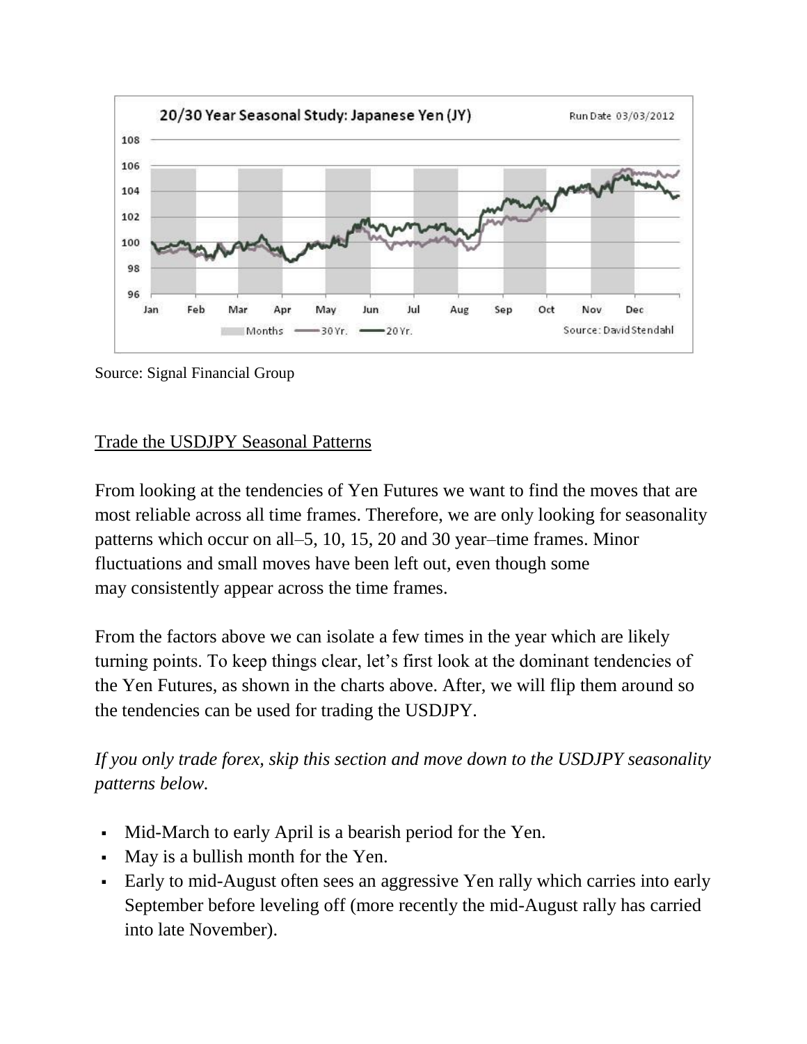

Source: Signal Financial Group

#### Trade the USDJPY Seasonal Patterns

From looking at the tendencies of Yen Futures we want to find the moves that are most reliable across all time frames. Therefore, we are only looking for seasonality patterns which occur on all–5, 10, 15, 20 and 30 year–time frames. Minor fluctuations and small moves have been left out, even though some may consistently appear across the time frames.

From the factors above we can isolate a few times in the year which are likely turning points. To keep things clear, let's first look at the dominant tendencies of the Yen Futures, as shown in the charts above. After, we will flip them around so the tendencies can be used for trading the USDJPY.

*If you only trade forex, skip this section and move down to the USDJPY seasonality patterns below.*

- Mid-March to early April is a bearish period for the Yen.
- May is a bullish month for the Yen.
- Early to mid-August often sees an aggressive Yen rally which carries into early September before leveling off (more recently the mid-August rally has carried into late November).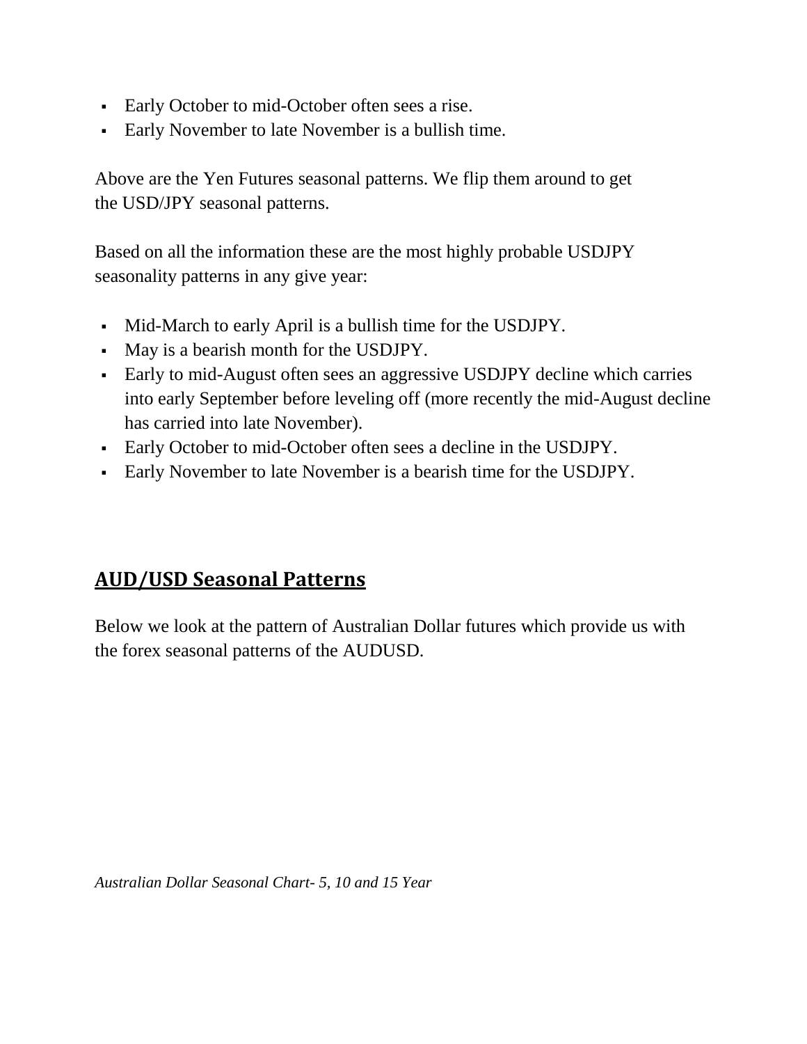- Early October to mid-October often sees a rise.
- Early November to late November is a bullish time.

Above are the Yen Futures seasonal patterns. We flip them around to get the USD/JPY seasonal patterns.

Based on all the information these are the most highly probable USDJPY seasonality patterns in any give year:

- Mid-March to early April is a bullish time for the USDJPY.
- May is a bearish month for the USDJPY.
- Early to mid-August often sees an aggressive USDJPY decline which carries into early September before leveling off (more recently the mid-August decline has carried into late November).
- Early October to mid-October often sees a decline in the USDJPY.
- <span id="page-10-0"></span>Early November to late November is a bearish time for the USDJPY.

## **AUD/USD Seasonal Patterns**

Below we look at the pattern of Australian Dollar futures which provide us with the forex seasonal patterns of the AUDUSD.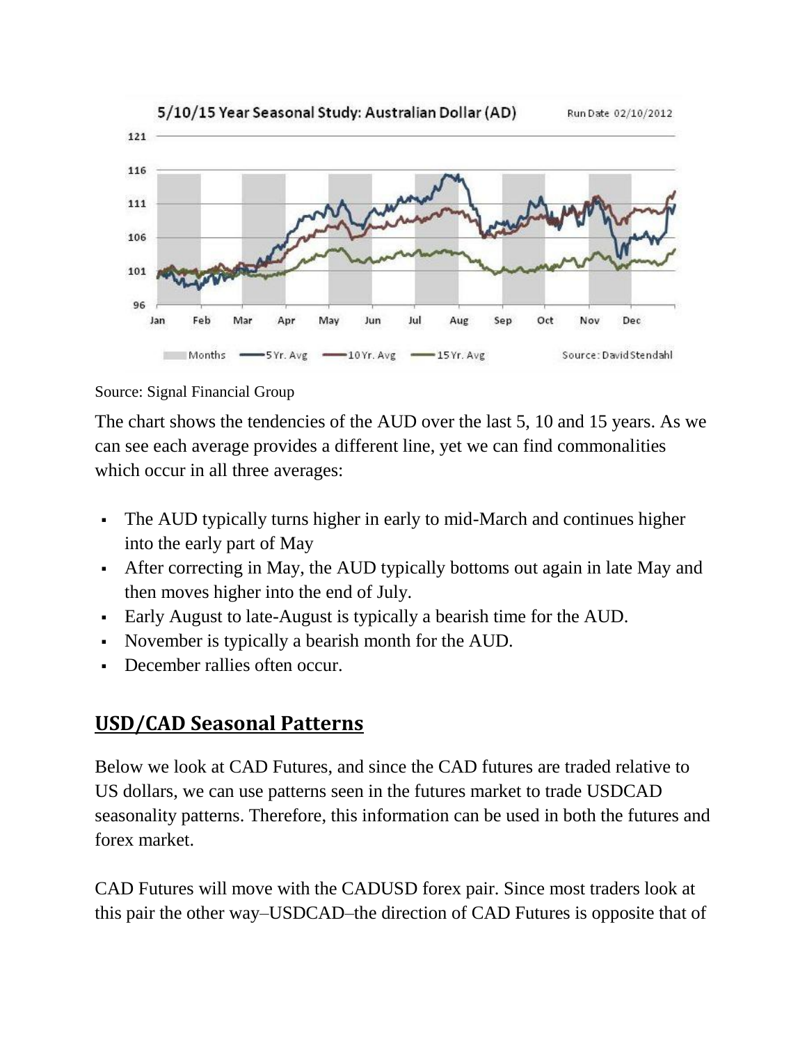

Source: Signal Financial Group

The chart shows the tendencies of the AUD over the last 5, 10 and 15 years. As we can see each average provides a different line, yet we can find commonalities which occur in all three averages:

- The AUD typically turns higher in early to mid-March and continues higher into the early part of May
- After correcting in May, the AUD typically bottoms out again in late May and then moves higher into the end of July.
- Early August to late-August is typically a bearish time for the AUD.
- November is typically a bearish month for the AUD.
- <span id="page-11-0"></span>December rallies often occur.

## **USD/CAD Seasonal Patterns**

Below we look at CAD Futures, and since the CAD futures are traded relative to US dollars, we can use patterns seen in the futures market to trade USDCAD seasonality patterns. Therefore, this information can be used in both the futures and forex market.

CAD Futures will move with the CADUSD forex pair. Since most traders look at this pair the other way–USDCAD–the direction of CAD Futures is opposite that of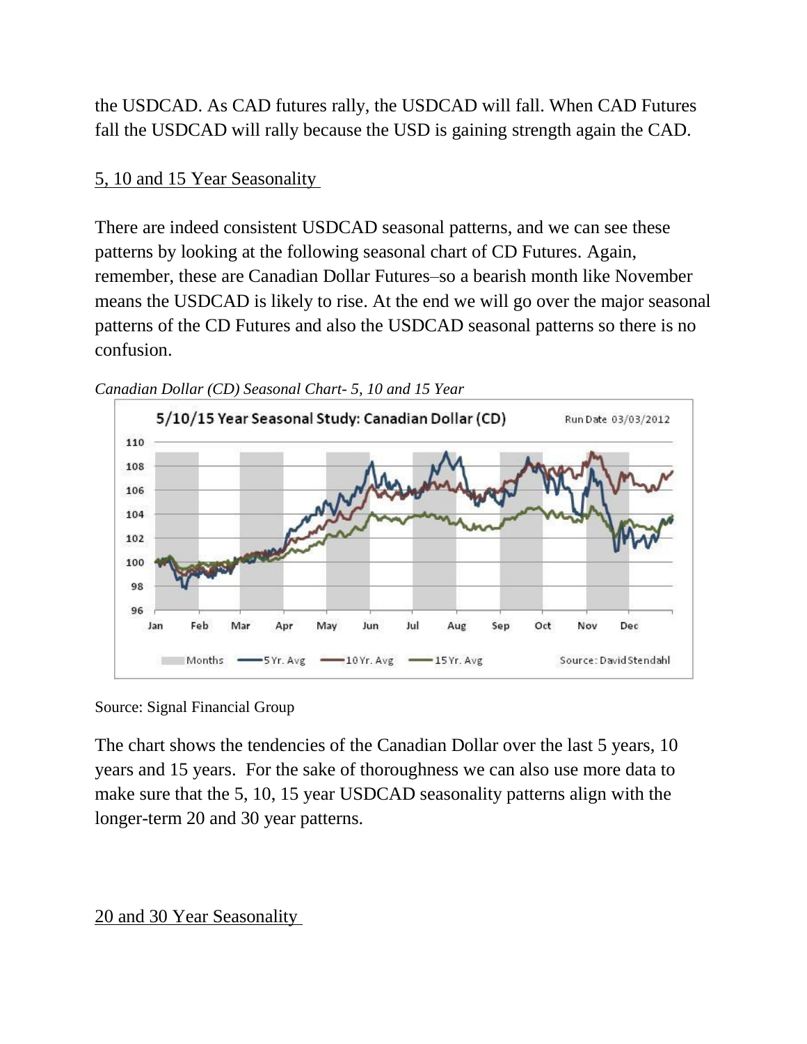the USDCAD. As CAD futures rally, the USDCAD will fall. When CAD Futures fall the USDCAD will rally because the USD is gaining strength again the CAD.

#### 5, 10 and 15 Year Seasonality

There are indeed consistent USDCAD seasonal patterns, and we can see these patterns by looking at the following seasonal chart of CD Futures. Again, remember, these are Canadian Dollar Futures–so a bearish month like November means the USDCAD is likely to rise. At the end we will go over the major seasonal patterns of the CD Futures and also the USDCAD seasonal patterns so there is no confusion.





Source: Signal Financial Group

The chart shows the tendencies of the Canadian Dollar over the last 5 years, 10 years and 15 years. For the sake of thoroughness we can also use more data to make sure that the 5, 10, 15 year USDCAD seasonality patterns align with the longer-term 20 and 30 year patterns.

#### 20 and 30 Year Seasonality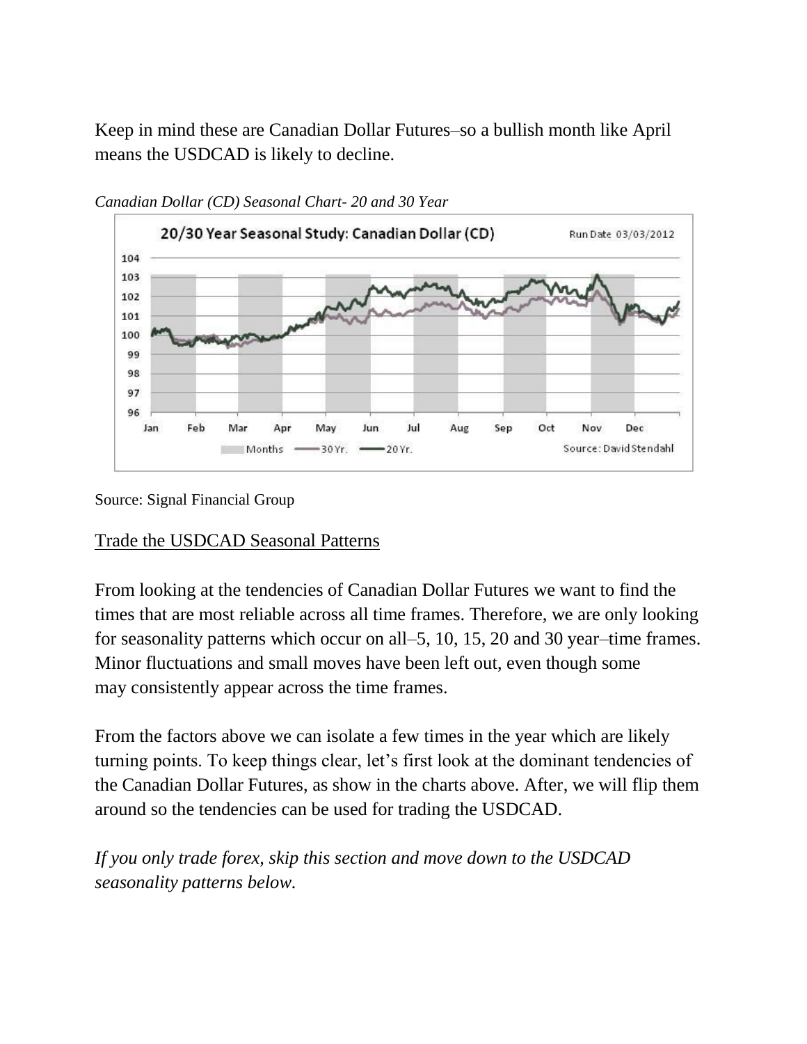Keep in mind these are Canadian Dollar Futures–so a bullish month like April means the USDCAD is likely to decline.



*Canadian Dollar (CD) Seasonal Chart- 20 and 30 Year*

Source: Signal Financial Group

#### Trade the USDCAD Seasonal Patterns

From looking at the tendencies of Canadian Dollar Futures we want to find the times that are most reliable across all time frames. Therefore, we are only looking for seasonality patterns which occur on all–5, 10, 15, 20 and 30 year–time frames. Minor fluctuations and small moves have been left out, even though some may consistently appear across the time frames.

From the factors above we can isolate a few times in the year which are likely turning points. To keep things clear, let's first look at the dominant tendencies of the Canadian Dollar Futures, as show in the charts above. After, we will flip them around so the tendencies can be used for trading the USDCAD.

*If you only trade forex, skip this section and move down to the USDCAD seasonality patterns below.*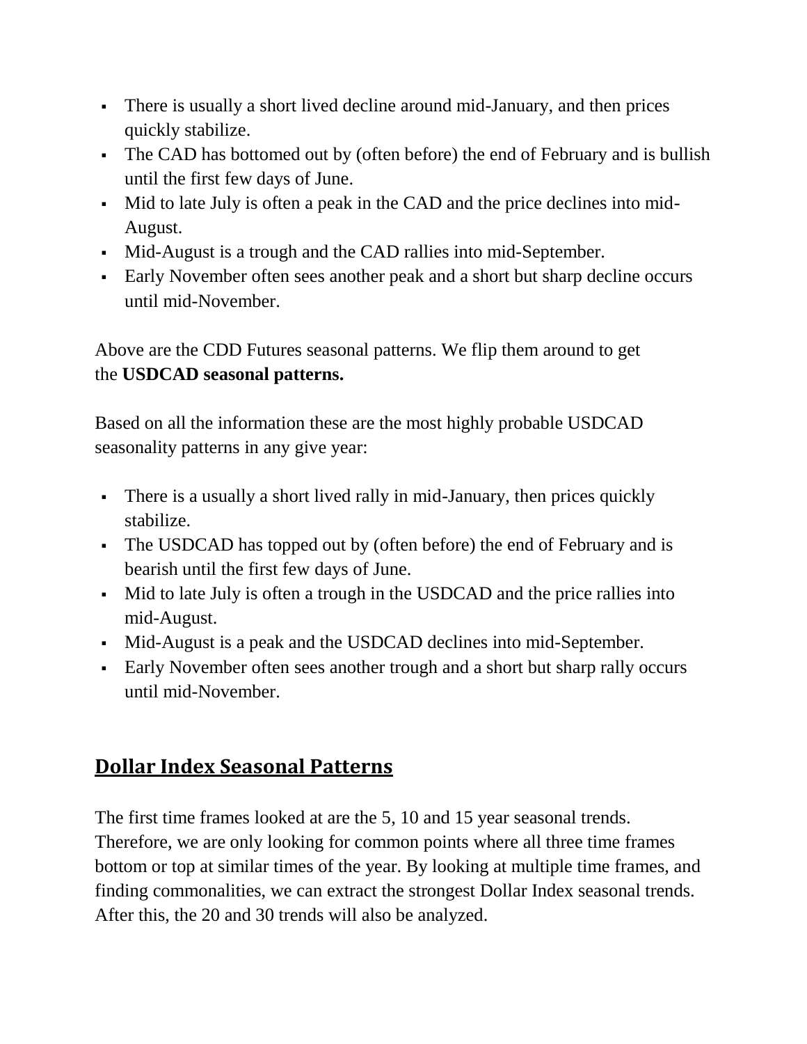- There is usually a short lived decline around mid-January, and then prices quickly stabilize.
- The CAD has bottomed out by (often before) the end of February and is bullish until the first few days of June.
- Mid to late July is often a peak in the CAD and the price declines into mid-August.
- Mid-August is a trough and the CAD rallies into mid-September.
- Early November often sees another peak and a short but sharp decline occurs until mid-November.

Above are the CDD Futures seasonal patterns. We flip them around to get the **USDCAD seasonal patterns.**

Based on all the information these are the most highly probable USDCAD seasonality patterns in any give year:

- There is a usually a short lived rally in mid-January, then prices quickly stabilize.
- The USDCAD has topped out by (often before) the end of February and is bearish until the first few days of June.
- Mid to late July is often a trough in the USDCAD and the price rallies into mid-August.
- Mid-August is a peak and the USDCAD declines into mid-September.
- Early November often sees another trough and a short but sharp rally occurs until mid-November.

## <span id="page-14-0"></span>**Dollar Index Seasonal Patterns**

The first time frames looked at are the 5, 10 and 15 year seasonal trends. Therefore, we are only looking for common points where all three time frames bottom or top at similar times of the year. By looking at multiple time frames, and finding commonalities, we can extract the strongest Dollar Index seasonal trends. After this, the 20 and 30 trends will also be analyzed.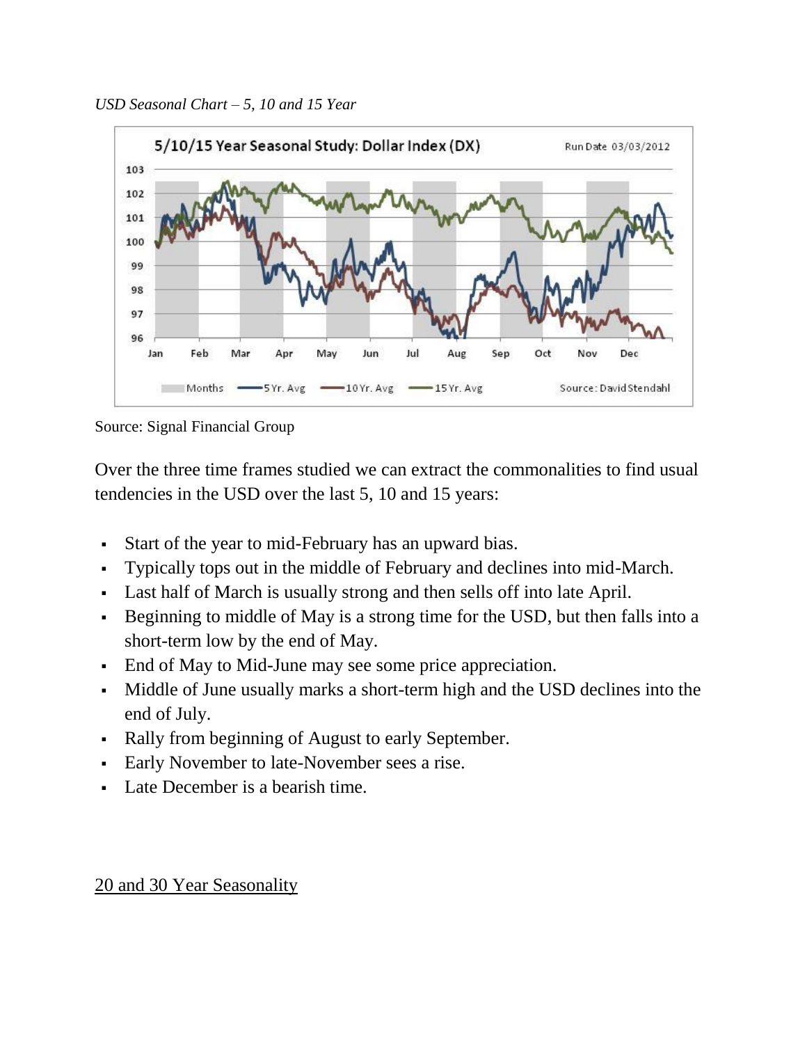

Source: Signal Financial Group

Over the three time frames studied we can extract the commonalities to find usual tendencies in the USD over the last 5, 10 and 15 years:

- Start of the year to mid-February has an upward bias.
- Typically tops out in the middle of February and declines into mid-March.
- Last half of March is usually strong and then sells off into late April.
- Beginning to middle of May is a strong time for the USD, but then falls into a short-term low by the end of May.
- End of May to Mid-June may see some price appreciation.
- Middle of June usually marks a short-term high and the USD declines into the end of July.
- Rally from beginning of August to early September.
- Early November to late-November sees a rise.
- Late December is a bearish time.

#### 20 and 30 Year Seasonality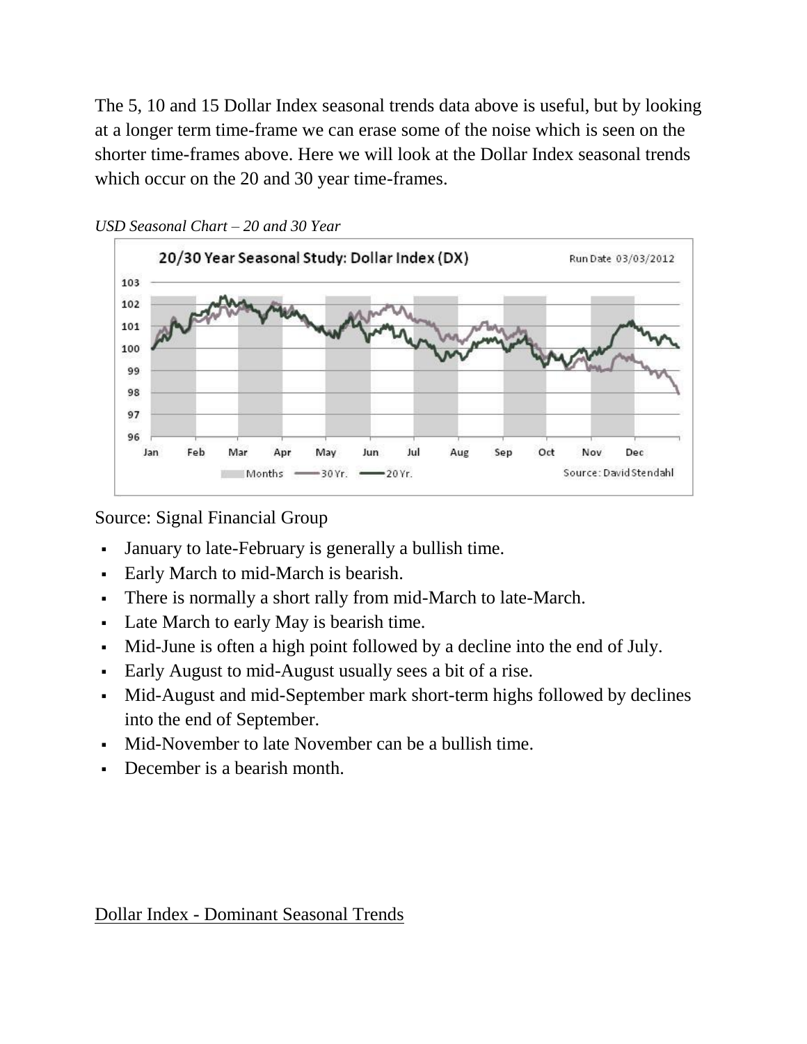The 5, 10 and 15 Dollar Index seasonal trends data above is useful, but by looking at a longer term time-frame we can erase some of the noise which is seen on the shorter time-frames above. Here we will look at the Dollar Index seasonal trends which occur on the 20 and 30 year time-frames.





Source: Signal Financial Group

- January to late-February is generally a bullish time.
- Early March to mid-March is bearish.
- There is normally a short rally from mid-March to late-March.
- Late March to early May is bearish time.
- Mid-June is often a high point followed by a decline into the end of July.
- Early August to mid-August usually sees a bit of a rise.
- Mid-August and mid-September mark short-term highs followed by declines into the end of September.
- Mid-November to late November can be a bullish time.
- December is a bearish month.

Dollar Index - Dominant Seasonal Trends